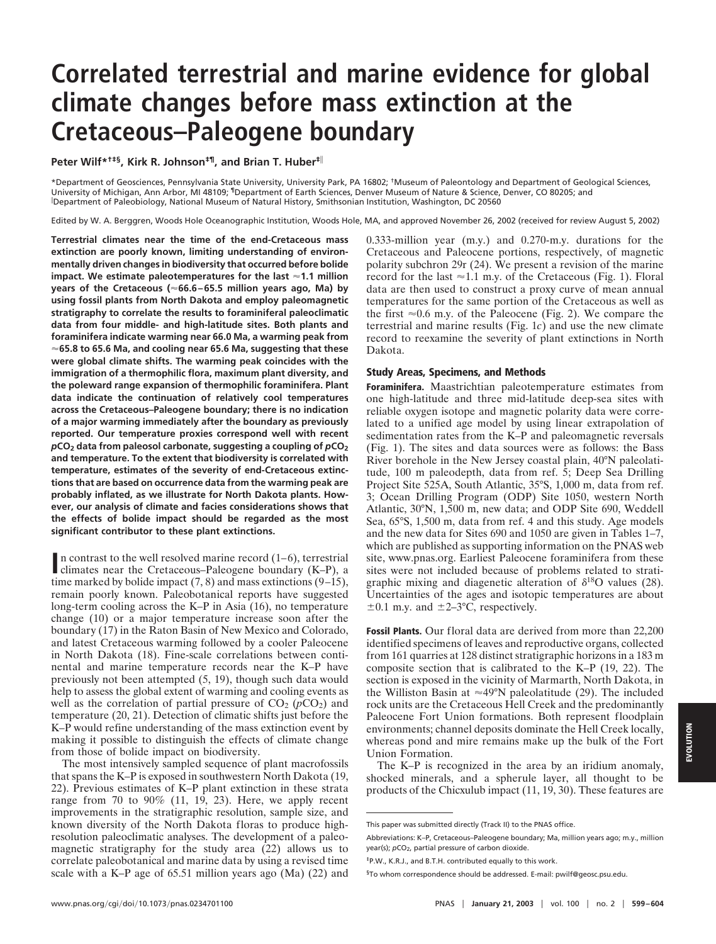# **Correlated terrestrial and marine evidence for global climate changes before mass extinction at the Cretaceous–Paleogene boundary**

**Peter Wilf\*†‡§, Kirk R. Johnson‡¶, and Brian T. Huber‡**<sup>i</sup>

\*Department of Geosciences, Pennsylvania State University, University Park, PA 16802; †Museum of Paleontology and Department of Geological Sciences, University of Michigan, Ann Arbor, MI 48109; ¶Department of Earth Sciences, Denver Museum of Nature & Science, Denver, CO 80205; and i Department of Paleobiology, National Museum of Natural History, Smithsonian Institution, Washington, DC 20560

Edited by W. A. Berggren, Woods Hole Oceanographic Institution, Woods Hole, MA, and approved November 26, 2002 (received for review August 5, 2002)

**Terrestrial climates near the time of the end-Cretaceous mass extinction are poorly known, limiting understanding of environmentally driven changes in biodiversity that occurred before bolide impact. We estimate paleotemperatures for the last** '**1.1 million years of the Cretaceous (**'**66.6–65.5 million years ago, Ma) by using fossil plants from North Dakota and employ paleomagnetic stratigraphy to correlate the results to foraminiferal paleoclimatic data from four middle- and high-latitude sites. Both plants and foraminifera indicate warming near 66.0 Ma, a warming peak from** '**65.8 to 65.6 Ma, and cooling near 65.6 Ma, suggesting that these were global climate shifts. The warming peak coincides with the immigration of a thermophilic flora, maximum plant diversity, and the poleward range expansion of thermophilic foraminifera. Plant data indicate the continuation of relatively cool temperatures across the Cretaceous–Paleogene boundary; there is no indication of a major warming immediately after the boundary as previously reported. Our temperature proxies correspond well with recent**  $p$ **CO<sub>2</sub>** data from paleosol carbonate, suggesting a coupling of  $p$ **CO**<sub>2</sub> **and temperature. To the extent that biodiversity is correlated with temperature, estimates of the severity of end-Cretaceous extinctions that are based on occurrence data from the warming peak are probably inflated, as we illustrate for North Dakota plants. However, our analysis of climate and facies considerations shows that the effects of bolide impact should be regarded as the most significant contributor to these plant extinctions.**

**I**n contrast to the well resolved marine record  $(1-6)$ , terrestrial climates near the Cretaceous–Paleogene boundary  $(K-P)$ , a climates near the Cretaceous–Paleogene boundary (K–P), a time marked by bolide impact  $(7, 8)$  and mass extinctions  $(9-15)$ , remain poorly known. Paleobotanical reports have suggested long-term cooling across the K–P in Asia (16), no temperature change (10) or a major temperature increase soon after the boundary (17) in the Raton Basin of New Mexico and Colorado, and latest Cretaceous warming followed by a cooler Paleocene in North Dakota (18). Fine-scale correlations between continental and marine temperature records near the K–P have previously not been attempted (5, 19), though such data would help to assess the global extent of warming and cooling events as well as the correlation of partial pressure of  $CO<sub>2</sub>$  ( $pCO<sub>2</sub>$ ) and temperature (20, 21). Detection of climatic shifts just before the K–P would refine understanding of the mass extinction event by making it possible to distinguish the effects of climate change from those of bolide impact on biodiversity.

The most intensively sampled sequence of plant macrofossils that spans the K–P is exposed in southwestern North Dakota (19, 22). Previous estimates of K–P plant extinction in these strata range from 70 to 90% (11, 19, 23). Here, we apply recent improvements in the stratigraphic resolution, sample size, and known diversity of the North Dakota floras to produce highresolution paleoclimatic analyses. The development of a paleomagnetic stratigraphy for the study area (22) allows us to correlate paleobotanical and marine data by using a revised time scale with a K–P age of 65.51 million years ago (Ma) (22) and 0.333-million year (m.y.) and 0.270-m.y. durations for the Cretaceous and Paleocene portions, respectively, of magnetic polarity subchron 29r (24). We present a revision of the marine record for the last  $\approx$  1.1 m.y. of the Cretaceous (Fig. 1). Floral data are then used to construct a proxy curve of mean annual temperatures for the same portion of the Cretaceous as well as the first  $\approx 0.6$  m.y. of the Paleocene (Fig. 2). We compare the terrestrial and marine results (Fig. 1*c*) and use the new climate record to reexamine the severity of plant extinctions in North Dakota.

### **Study Areas, Specimens, and Methods**

**Foraminifera.** Maastrichtian paleotemperature estimates from one high-latitude and three mid-latitude deep-sea sites with reliable oxygen isotope and magnetic polarity data were correlated to a unified age model by using linear extrapolation of sedimentation rates from the K–P and paleomagnetic reversals (Fig. 1). The sites and data sources were as follows: the Bass River borehole in the New Jersey coastal plain, 40°N paleolatitude, 100 m paleodepth, data from ref. 5; Deep Sea Drilling Project Site 525A, South Atlantic, 35°S, 1,000 m, data from ref. 3; Ocean Drilling Program (ODP) Site 1050, western North Atlantic, 30°N, 1,500 m, new data; and ODP Site 690, Weddell Sea, 65°S, 1,500 m, data from ref. 4 and this study. Age models and the new data for Sites 690 and 1050 are given in Tables 1–7, which are published as supporting information on the PNAS web site, www.pnas.org. Earliest Paleocene foraminifera from these sites were not included because of problems related to stratigraphic mixing and diagenetic alteration of  $\delta^{18}$ O values (28). Uncertainties of the ages and isotopic temperatures are about  $\pm 0.1$  m.y. and  $\pm 2-3$ °C, respectively.

**Fossil Plants.** Our floral data are derived from more than 22,200 identified specimens of leaves and reproductive organs, collected from 161 quarries at 128 distinct stratigraphic horizons in a 183 m composite section that is calibrated to the K–P (19, 22). The section is exposed in the vicinity of Marmarth, North Dakota, in the Williston Basin at  $\approx 49^{\circ}$ N paleolatitude (29). The included rock units are the Cretaceous Hell Creek and the predominantly Paleocene Fort Union formations. Both represent floodplain environments; channel deposits dominate the Hell Creek locally, whereas pond and mire remains make up the bulk of the Fort Union Formation.

The K–P is recognized in the area by an iridium anomaly, shocked minerals, and a spherule layer, all thought to be products of the Chicxulub impact (11, 19, 30). These features are

Abbreviations: K–P, Cretaceous–Paleogene boundary; Ma, million years ago; m.y., million year(s); *pCO*<sub>2</sub>, partial pressure of carbon dioxide

This paper was submitted directly (Track II) to the PNAS office.

<sup>‡</sup>P.W., K.R.J., and B.T.H. contributed equally to this work.

<sup>§</sup>To whom correspondence should be addressed. E-mail: pwilf@geosc.psu.edu.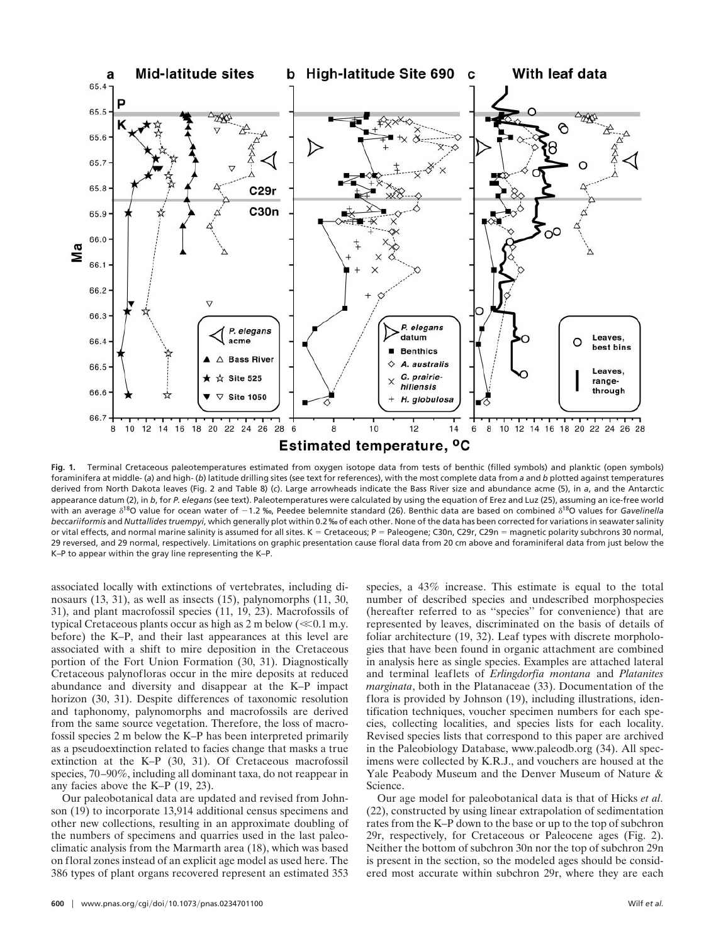

**Fig. 1.** Terminal Cretaceous paleotemperatures estimated from oxygen isotope data from tests of benthic (filled symbols) and planktic (open symbols) foraminifera at middle- (*a*) and high- (*b*) latitude drilling sites (see text for references), with the most complete data from *a* and *b* plotted against temperatures derived from North Dakota leaves (Fig. 2 and Table 8) (*c*). Large arrowheads indicate the Bass River size and abundance acme (5), in *a*, and the Antarctic appearance datum (2), in *b*, for *P. elegans* (see text). Paleotemperatures were calculated by using the equation of Erez and Luz (25), assuming an ice-free world with an average  $\delta^{18}$ O value for ocean water of -1.2 ‰, Peedee belemnite standard (26). Benthic data are based on combined  $\delta^{18}$ O values for *Gavelinella beccariiformis* and *Nuttallides truempyi*, which generally plot within 0.2 ‰ of each other. None of the data has been corrected for variations in seawater salinity or vital effects, and normal marine salinity is assumed for all sites. K = Cretaceous; P = Paleogene; C30n, C29r, C29n = magnetic polarity subchrons 30 normal, 29 reversed, and 29 normal, respectively. Limitations on graphic presentation cause floral data from 20 cm above and foraminiferal data from just below the K–P to appear within the gray line representing the K–P.

associated locally with extinctions of vertebrates, including dinosaurs (13, 31), as well as insects (15), palynomorphs (11, 30, 31), and plant macrofossil species (11, 19, 23). Macrofossils of typical Cretaceous plants occur as high as  $2 \text{ m}$  below ( $\ll 0.1 \text{ m}$ .y. before) the K–P, and their last appearances at this level are associated with a shift to mire deposition in the Cretaceous portion of the Fort Union Formation (30, 31). Diagnostically Cretaceous palynofloras occur in the mire deposits at reduced abundance and diversity and disappear at the K–P impact horizon (30, 31). Despite differences of taxonomic resolution and taphonomy, palynomorphs and macrofossils are derived from the same source vegetation. Therefore, the loss of macrofossil species 2 m below the K–P has been interpreted primarily as a pseudoextinction related to facies change that masks a true extinction at the K–P (30, 31). Of Cretaceous macrofossil species, 70–90%, including all dominant taxa, do not reappear in any facies above the K–P (19, 23).

Our paleobotanical data are updated and revised from Johnson (19) to incorporate 13,914 additional census specimens and other new collections, resulting in an approximate doubling of the numbers of specimens and quarries used in the last paleoclimatic analysis from the Marmarth area (18), which was based on floral zones instead of an explicit age model as used here. The 386 types of plant organs recovered represent an estimated 353 species, a 43% increase. This estimate is equal to the total number of described species and undescribed morphospecies (hereafter referred to as ''species'' for convenience) that are represented by leaves, discriminated on the basis of details of foliar architecture (19, 32). Leaf types with discrete morphologies that have been found in organic attachment are combined in analysis here as single species. Examples are attached lateral and terminal leaflets of *Erlingdorfia montana* and *Platanites marginata*, both in the Platanaceae (33). Documentation of the flora is provided by Johnson (19), including illustrations, identification techniques, voucher specimen numbers for each species, collecting localities, and species lists for each locality. Revised species lists that correspond to this paper are archived in the Paleobiology Database, www.paleodb.org (34). All specimens were collected by K.R.J., and vouchers are housed at the Yale Peabody Museum and the Denver Museum of Nature & Science.

Our age model for paleobotanical data is that of Hicks *et al.* (22), constructed by using linear extrapolation of sedimentation rates from the K–P down to the base or up to the top of subchron 29r, respectively, for Cretaceous or Paleocene ages (Fig. 2). Neither the bottom of subchron 30n nor the top of subchron 29n is present in the section, so the modeled ages should be considered most accurate within subchron 29r, where they are each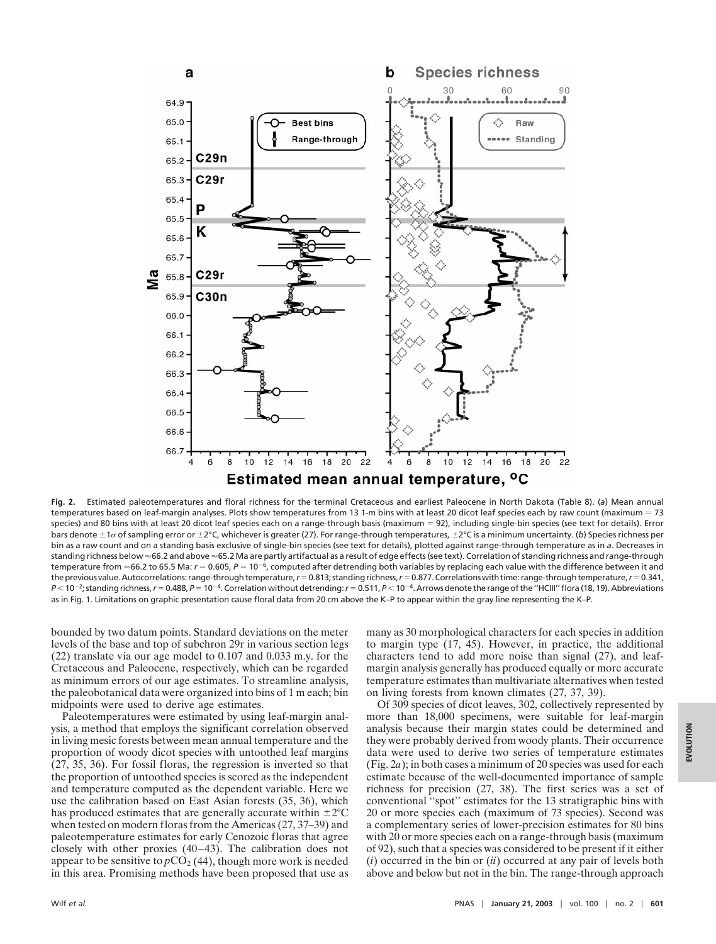

**Fig. 2.** Estimated paleotemperatures and floral richness for the terminal Cretaceous and earliest Paleocene in North Dakota (Table 8). (*a*) Mean annual temperatures based on leaf-margin analyses. Plots show temperatures from 13 1-m bins with at least 20 dicot leaf species each by raw count (maximum = 73 species) and 80 bins with at least 20 dicot leaf species each on a range-through basis (maximum = 92), including single-bin species (see text for details). Error bars denote ±1*o* of sampling error or ±2°C, whichever is greater (27). For range-through temperatures, ±2°C is a minimum uncertainty. (b) Species richness per bin as a raw count and on a standing basis exclusive of single-bin species (see text for details), plotted against range-through temperature as in *a*. Decreases in standing richness below ~66.2 and above ~65.2 Ma are partly artifactual as a result of edge effects (see text). Correlation of standing richness and range-through temperature from  $\approx$  66.2 to 65.5 Ma:  $r = 0.605$ ,  $P = 10^{-6}$ , computed after detrending both variables by replacing each value with the difference between it and the previous value. Autocorrelations: range-through temperature,  $r = 0.813$ ; standing richness,  $r = 0.877$ . Correlations with time: range-through temperature,  $r = 0.341$ , *P* < 10<sup>-2</sup>; standing richness, *r* = 0.488, *P* = 10<sup>-4</sup>. Correlation without detrending: *r* = 0.511, *P* < 10<sup>-4</sup>. Arrows denote the range of the "HCIII" flora (18, 19). Abbreviations as in Fig. 1. Limitations on graphic presentation cause floral data from 20 cm above the K–P to appear within the gray line representing the K–P.

bounded by two datum points. Standard deviations on the meter levels of the base and top of subchron 29r in various section legs (22) translate via our age model to 0.107 and 0.033 m.y. for the Cretaceous and Paleocene, respectively, which can be regarded as minimum errors of our age estimates. To streamline analysis, the paleobotanical data were organized into bins of 1 m each; bin midpoints were used to derive age estimates.

Paleotemperatures were estimated by using leaf-margin analysis, a method that employs the significant correlation observed in living mesic forests between mean annual temperature and the proportion of woody dicot species with untoothed leaf margins (27, 35, 36). For fossil floras, the regression is inverted so that the proportion of untoothed species is scored as the independent and temperature computed as the dependent variable. Here we use the calibration based on East Asian forests (35, 36), which has produced estimates that are generally accurate within  $\pm 2^{\circ}$ C when tested on modern floras from the Americas (27, 37–39) and paleotemperature estimates for early Cenozoic floras that agree closely with other proxies (40–43). The calibration does not appear to be sensitive to  $pCO<sub>2</sub>(44)$ , though more work is needed in this area. Promising methods have been proposed that use as many as 30 morphological characters for each species in addition to margin type (17, 45). However, in practice, the additional characters tend to add more noise than signal (27), and leafmargin analysis generally has produced equally or more accurate temperature estimates than multivariate alternatives when tested on living forests from known climates (27, 37, 39).

Of 309 species of dicot leaves, 302, collectively represented by more than 18,000 specimens, were suitable for leaf-margin analysis because their margin states could be determined and they were probably derived from woody plants. Their occurrence data were used to derive two series of temperature estimates (Fig. 2*a*); in both cases a minimum of 20 species was used for each estimate because of the well-documented importance of sample richness for precision (27, 38). The first series was a set of conventional ''spot'' estimates for the 13 stratigraphic bins with 20 or more species each (maximum of 73 species). Second was a complementary series of lower-precision estimates for 80 bins with 20 or more species each on a range-through basis (maximum of 92), such that a species was considered to be present if it either (*i*) occurred in the bin or (*ii*) occurred at any pair of levels both above and below but not in the bin. The range-through approach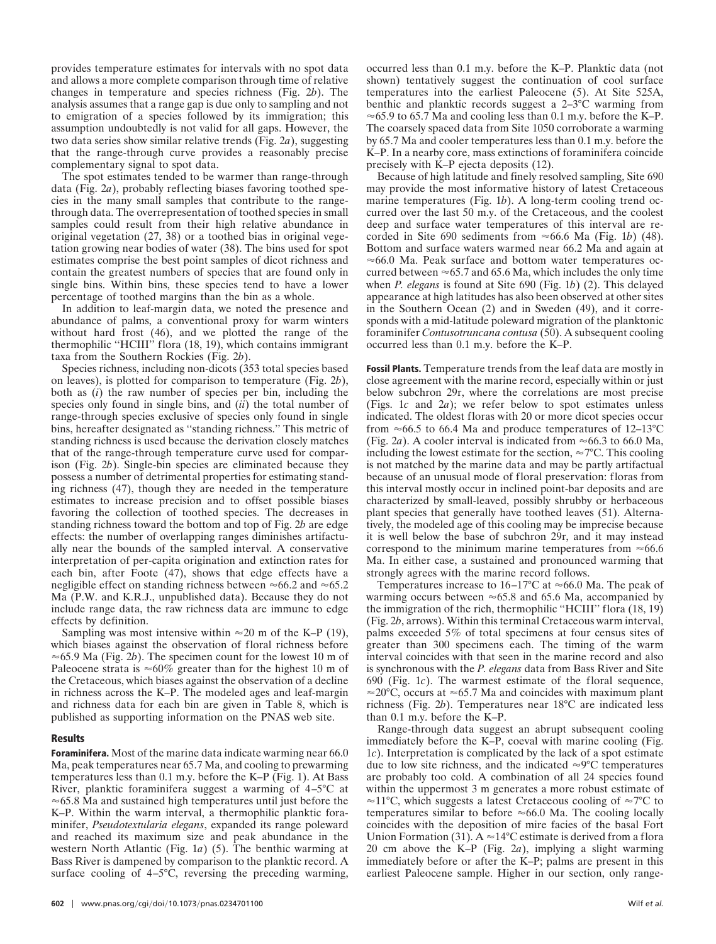provides temperature estimates for intervals with no spot data and allows a more complete comparison through time of relative changes in temperature and species richness (Fig. 2*b*). The analysis assumes that a range gap is due only to sampling and not to emigration of a species followed by its immigration; this assumption undoubtedly is not valid for all gaps. However, the two data series show similar relative trends (Fig. 2*a*), suggesting that the range-through curve provides a reasonably precise complementary signal to spot data.

The spot estimates tended to be warmer than range-through data (Fig. 2*a*), probably reflecting biases favoring toothed species in the many small samples that contribute to the rangethrough data. The overrepresentation of toothed species in small samples could result from their high relative abundance in original vegetation (27, 38) or a toothed bias in original vegetation growing near bodies of water (38). The bins used for spot estimates comprise the best point samples of dicot richness and contain the greatest numbers of species that are found only in single bins. Within bins, these species tend to have a lower percentage of toothed margins than the bin as a whole.

In addition to leaf-margin data, we noted the presence and abundance of palms, a conventional proxy for warm winters without hard frost (46), and we plotted the range of the thermophilic ''HCIII'' flora (18, 19), which contains immigrant taxa from the Southern Rockies (Fig. 2*b*).

Species richness, including non-dicots (353 total species based on leaves), is plotted for comparison to temperature (Fig. 2*b*), both as (*i*) the raw number of species per bin, including the species only found in single bins, and (*ii*) the total number of range-through species exclusive of species only found in single bins, hereafter designated as ''standing richness.'' This metric of standing richness is used because the derivation closely matches that of the range-through temperature curve used for comparison (Fig. 2*b*). Single-bin species are eliminated because they possess a number of detrimental properties for estimating standing richness (47), though they are needed in the temperature estimates to increase precision and to offset possible biases favoring the collection of toothed species. The decreases in standing richness toward the bottom and top of Fig. 2*b* are edge effects: the number of overlapping ranges diminishes artifactually near the bounds of the sampled interval. A conservative interpretation of per-capita origination and extinction rates for each bin, after Foote (47), shows that edge effects have a negligible effect on standing richness between  $\approx 66.2$  and  $\approx 65.2$ Ma (P.W. and K.R.J., unpublished data). Because they do not include range data, the raw richness data are immune to edge effects by definition.

Sampling was most intensive within  $\approx 20$  m of the K–P (19), which biases against the observation of floral richness before  $\approx$  65.9 Ma (Fig. 2*b*). The specimen count for the lowest 10 m of Paleocene strata is  $\approx 60\%$  greater than for the highest 10 m of the Cretaceous, which biases against the observation of a decline in richness across the K–P. The modeled ages and leaf-margin and richness data for each bin are given in Table 8, which is published as supporting information on the PNAS web site.

#### **Results**

**Foraminifera.** Most of the marine data indicate warming near 66.0 Ma, peak temperatures near 65.7 Ma, and cooling to prewarming temperatures less than 0.1 m.y. before the K–P (Fig. 1). At Bass River, planktic foraminifera suggest a warming of 4–5°C at  $\approx$  65.8 Ma and sustained high temperatures until just before the K–P. Within the warm interval, a thermophilic planktic foraminifer, *Pseudotextularia elegans*, expanded its range poleward and reached its maximum size and peak abundance in the western North Atlantic (Fig. 1*a*) (5). The benthic warming at Bass River is dampened by comparison to the planktic record. A surface cooling of  $4-5^{\circ}$ C, reversing the preceding warming, occurred less than 0.1 m.y. before the K–P. Planktic data (not shown) tentatively suggest the continuation of cool surface temperatures into the earliest Paleocene (5). At Site 525A, benthic and planktic records suggest a 2–3°C warming from  $\approx$  65.9 to 65.7 Ma and cooling less than 0.1 m.y. before the K–P. The coarsely spaced data from Site 1050 corroborate a warming by 65.7 Ma and cooler temperatures less than 0.1 m.y. before the K–P. In a nearby core, mass extinctions of foraminifera coincide precisely with K–P ejecta deposits (12).

Because of high latitude and finely resolved sampling, Site 690 may provide the most informative history of latest Cretaceous marine temperatures (Fig. 1*b*). A long-term cooling trend occurred over the last 50 m.y. of the Cretaceous, and the coolest deep and surface water temperatures of this interval are recorded in Site 690 sediments from  $\approx$  66.6 Ma (Fig. 1*b*) (48). Bottom and surface waters warmed near 66.2 Ma and again at  $\approx$  66.0 Ma. Peak surface and bottom water temperatures occurred between  $\approx 65.7$  and 65.6 Ma, which includes the only time when *P. elegans* is found at Site 690 (Fig. 1*b*) (2). This delayed appearance at high latitudes has also been observed at other sites in the Southern Ocean (2) and in Sweden (49), and it corresponds with a mid-latitude poleward migration of the planktonic foraminifer *Contusotruncana contusa* (50). A subsequent cooling occurred less than 0.1 m.y. before the K–P.

**Fossil Plants.** Temperature trends from the leaf data are mostly in close agreement with the marine record, especially within or just below subchron 29r, where the correlations are most precise (Figs. 1*c* and 2*a*); we refer below to spot estimates unless indicated. The oldest floras with 20 or more dicot species occur from  $\approx 66.5$  to 66.4 Ma and produce temperatures of 12–13<sup>°</sup>C (Fig. 2*a*). A cooler interval is indicated from  $\approx 66.3$  to 66.0 Ma, including the lowest estimate for the section,  $\approx 7^{\circ}$ C. This cooling is not matched by the marine data and may be partly artifactual because of an unusual mode of floral preservation: floras from this interval mostly occur in inclined point-bar deposits and are characterized by small-leaved, possibly shrubby or herbaceous plant species that generally have toothed leaves (51). Alternatively, the modeled age of this cooling may be imprecise because it is well below the base of subchron 29r, and it may instead correspond to the minimum marine temperatures from  $\approx 66.6$ Ma. In either case, a sustained and pronounced warming that strongly agrees with the marine record follows.

Temperatures increase to  $16-17$ °C at  $\approx 66.0$  Ma. The peak of warming occurs between  $\approx 65.8$  and 65.6 Ma, accompanied by the immigration of the rich, thermophilic ''HCIII'' flora (18, 19) (Fig. 2*b*, arrows). Within this terminal Cretaceous warm interval, palms exceeded 5% of total specimens at four census sites of greater than 300 specimens each. The timing of the warm interval coincides with that seen in the marine record and also is synchronous with the *P. elegans* data from Bass River and Site 690 (Fig. 1*c*). The warmest estimate of the floral sequence,  $\approx$ 20°C, occurs at  $\approx$ 65.7 Ma and coincides with maximum plant richness (Fig. 2*b*). Temperatures near 18°C are indicated less than 0.1 m.y. before the K–P.

Range-through data suggest an abrupt subsequent cooling immediately before the K–P, coeval with marine cooling (Fig. 1*c*). Interpretation is complicated by the lack of a spot estimate due to low site richness, and the indicated  $\approx 9^{\circ}$ C temperatures are probably too cold. A combination of all 24 species found within the uppermost 3 m generates a more robust estimate of  $\approx$ 11°C, which suggests a latest Cretaceous cooling of  $\approx$ 7°C to temperatures similar to before  $\approx 66.0$  Ma. The cooling locally coincides with the deposition of mire facies of the basal Fort Union Formation (31).  $A \approx 14^{\circ}C$  estimate is derived from a flora 20 cm above the K–P (Fig. 2*a*), implying a slight warming immediately before or after the K–P; palms are present in this earliest Paleocene sample. Higher in our section, only range-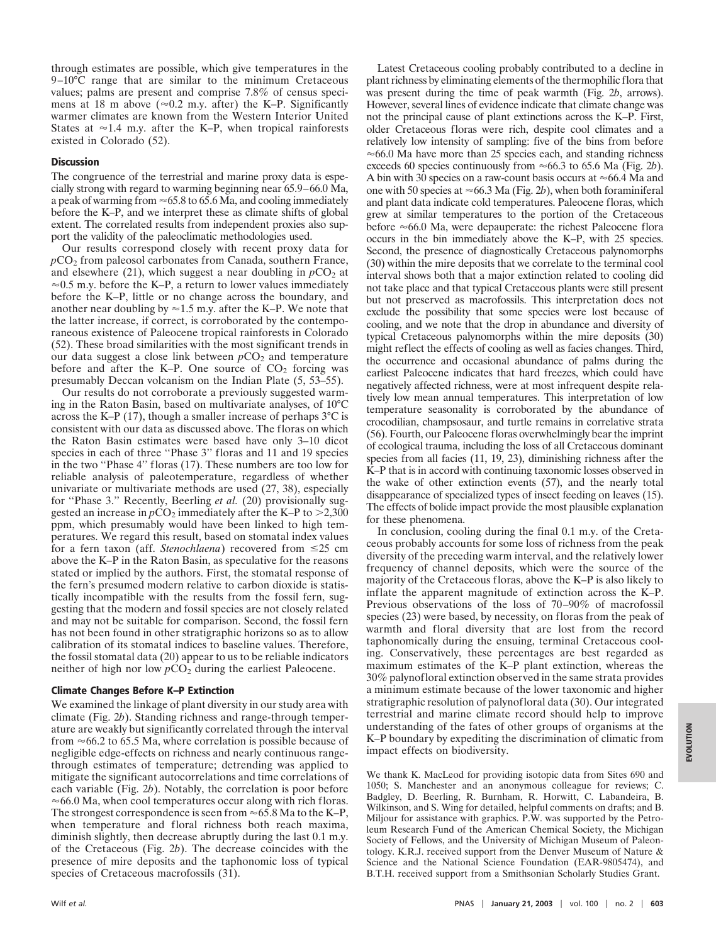through estimates are possible, which give temperatures in the 9–10°C range that are similar to the minimum Cretaceous values; palms are present and comprise 7.8% of census specimens at 18 m above ( $\approx$ 0.2 m.y. after) the K–P. Significantly warmer climates are known from the Western Interior United States at  $\approx$  1.4 m.y. after the K–P, when tropical rainforests existed in Colorado (52).

## **Discussion**

The congruence of the terrestrial and marine proxy data is especially strong with regard to warming beginning near 65.9–66.0 Ma, a peak of warming from  $\approx 65.8$  to 65.6 Ma, and cooling immediately before the K–P, and we interpret these as climate shifts of global extent. The correlated results from independent proxies also support the validity of the paleoclimatic methodologies used.

Our results correspond closely with recent proxy data for *p*CO2 from paleosol carbonates from Canada, southern France, and elsewhere (21), which suggest a near doubling in  $pCO<sub>2</sub>$  at  $\approx$  0.5 m.y. before the K–P, a return to lower values immediately before the K–P, little or no change across the boundary, and another near doubling by  $\approx$  1.5 m.y. after the K–P. We note that the latter increase, if correct, is corroborated by the contemporaneous existence of Paleocene tropical rainforests in Colorado (52). These broad similarities with the most significant trends in our data suggest a close link between  $pCO<sub>2</sub>$  and temperature before and after the K–P. One source of  $CO<sub>2</sub>$  forcing was presumably Deccan volcanism on the Indian Plate (5, 53–55).

Our results do not corroborate a previously suggested warming in the Raton Basin, based on multivariate analyses, of 10°C across the K–P (17), though a smaller increase of perhaps  $3^{\circ}$ C is consistent with our data as discussed above. The floras on which the Raton Basin estimates were based have only 3–10 dicot species in each of three ''Phase 3'' floras and 11 and 19 species in the two ''Phase 4'' floras (17). These numbers are too low for reliable analysis of paleotemperature, regardless of whether univariate or multivariate methods are used (27, 38), especially for ''Phase 3.'' Recently, Beerling *et al.* (20) provisionally suggested an increase in  $pCO_2$  immediately after the K–P to  $>2,300$ ppm, which presumably would have been linked to high temperatures. We regard this result, based on stomatal index values for a fern taxon (aff. *Stenochlaena*) recovered from  $\leq 25$  cm above the K–P in the Raton Basin, as speculative for the reasons stated or implied by the authors. First, the stomatal response of the fern's presumed modern relative to carbon dioxide is statistically incompatible with the results from the fossil fern, suggesting that the modern and fossil species are not closely related and may not be suitable for comparison. Second, the fossil fern has not been found in other stratigraphic horizons so as to allow calibration of its stomatal indices to baseline values. Therefore, the fossil stomatal data (20) appear to us to be reliable indicators neither of high nor low  $pCO<sub>2</sub>$  during the earliest Paleocene.

## **Climate Changes Before K–P Extinction**

We examined the linkage of plant diversity in our study area with climate (Fig. 2*b*). Standing richness and range-through temperature are weakly but significantly correlated through the interval from  $\approx$  66.2 to 65.5 Ma, where correlation is possible because of negligible edge-effects on richness and nearly continuous rangethrough estimates of temperature; detrending was applied to mitigate the significant autocorrelations and time correlations of each variable (Fig. 2*b*). Notably, the correlation is poor before  $\approx$  66.0 Ma, when cool temperatures occur along with rich floras. The strongest correspondence is seen from  $\approx 65.8$  Ma to the K–P, when temperature and floral richness both reach maxima, diminish slightly, then decrease abruptly during the last 0.1 m.y. of the Cretaceous (Fig. 2*b*). The decrease coincides with the presence of mire deposits and the taphonomic loss of typical species of Cretaceous macrofossils (31).

Latest Cretaceous cooling probably contributed to a decline in plant richness by eliminating elements of the thermophilic flora that was present during the time of peak warmth (Fig. 2*b*, arrows). However, several lines of evidence indicate that climate change was not the principal cause of plant extinctions across the K–P. First, older Cretaceous floras were rich, despite cool climates and a relatively low intensity of sampling: five of the bins from before  $\approx$  66.0 Ma have more than 25 species each, and standing richness exceeds 60 species continuously from  $\approx$  66.3 to 65.6 Ma (Fig. 2*b*). A bin with 30 species on a raw-count basis occurs at  $\approx$  66.4 Ma and one with 50 species at  $\approx$  66.3 Ma (Fig. 2*b*), when both foraminiferal and plant data indicate cold temperatures. Paleocene floras, which grew at similar temperatures to the portion of the Cretaceous before  $\approx$  66.0 Ma, were depauperate: the richest Paleocene flora occurs in the bin immediately above the K–P, with 25 species. Second, the presence of diagnostically Cretaceous palynomorphs (30) within the mire deposits that we correlate to the terminal cool interval shows both that a major extinction related to cooling did not take place and that typical Cretaceous plants were still present but not preserved as macrofossils. This interpretation does not exclude the possibility that some species were lost because of cooling, and we note that the drop in abundance and diversity of typical Cretaceous palynomorphs within the mire deposits (30) might reflect the effects of cooling as well as facies changes. Third, the occurrence and occasional abundance of palms during the earliest Paleocene indicates that hard freezes, which could have negatively affected richness, were at most infrequent despite relatively low mean annual temperatures. This interpretation of low temperature seasonality is corroborated by the abundance of crocodilian, champsosaur, and turtle remains in correlative strata (56). Fourth, our Paleocene floras overwhelmingly bear the imprint of ecological trauma, including the loss of all Cretaceous dominant species from all facies (11, 19, 23), diminishing richness after the K–P that is in accord with continuing taxonomic losses observed in the wake of other extinction events (57), and the nearly total disappearance of specialized types of insect feeding on leaves (15). The effects of bolide impact provide the most plausible explanation for these phenomena.

In conclusion, cooling during the final 0.1 m.y. of the Cretaceous probably accounts for some loss of richness from the peak diversity of the preceding warm interval, and the relatively lower frequency of channel deposits, which were the source of the majority of the Cretaceous floras, above the K–P is also likely to inflate the apparent magnitude of extinction across the K–P. Previous observations of the loss of 70–90% of macrofossil species (23) were based, by necessity, on floras from the peak of warmth and floral diversity that are lost from the record taphonomically during the ensuing, terminal Cretaceous cooling. Conservatively, these percentages are best regarded as maximum estimates of the K–P plant extinction, whereas the 30% palynofloral extinction observed in the same strata provides a minimum estimate because of the lower taxonomic and higher stratigraphic resolution of palynofloral data (30). Our integrated terrestrial and marine climate record should help to improve understanding of the fates of other groups of organisms at the K–P boundary by expediting the discrimination of climatic from impact effects on biodiversity.

We thank K. MacLeod for providing isotopic data from Sites 690 and 1050; S. Manchester and an anonymous colleague for reviews; C. Badgley, D. Beerling, R. Burnham, R. Horwitt, C. Labandeira, B. Wilkinson, and S. Wing for detailed, helpful comments on drafts; and B. Miljour for assistance with graphics. P.W. was supported by the Petroleum Research Fund of the American Chemical Society, the Michigan Society of Fellows, and the University of Michigan Museum of Paleontology. K.R.J. received support from the Denver Museum of Nature & Science and the National Science Foundation (EAR-9805474), and B.T.H. received support from a Smithsonian Scholarly Studies Grant.